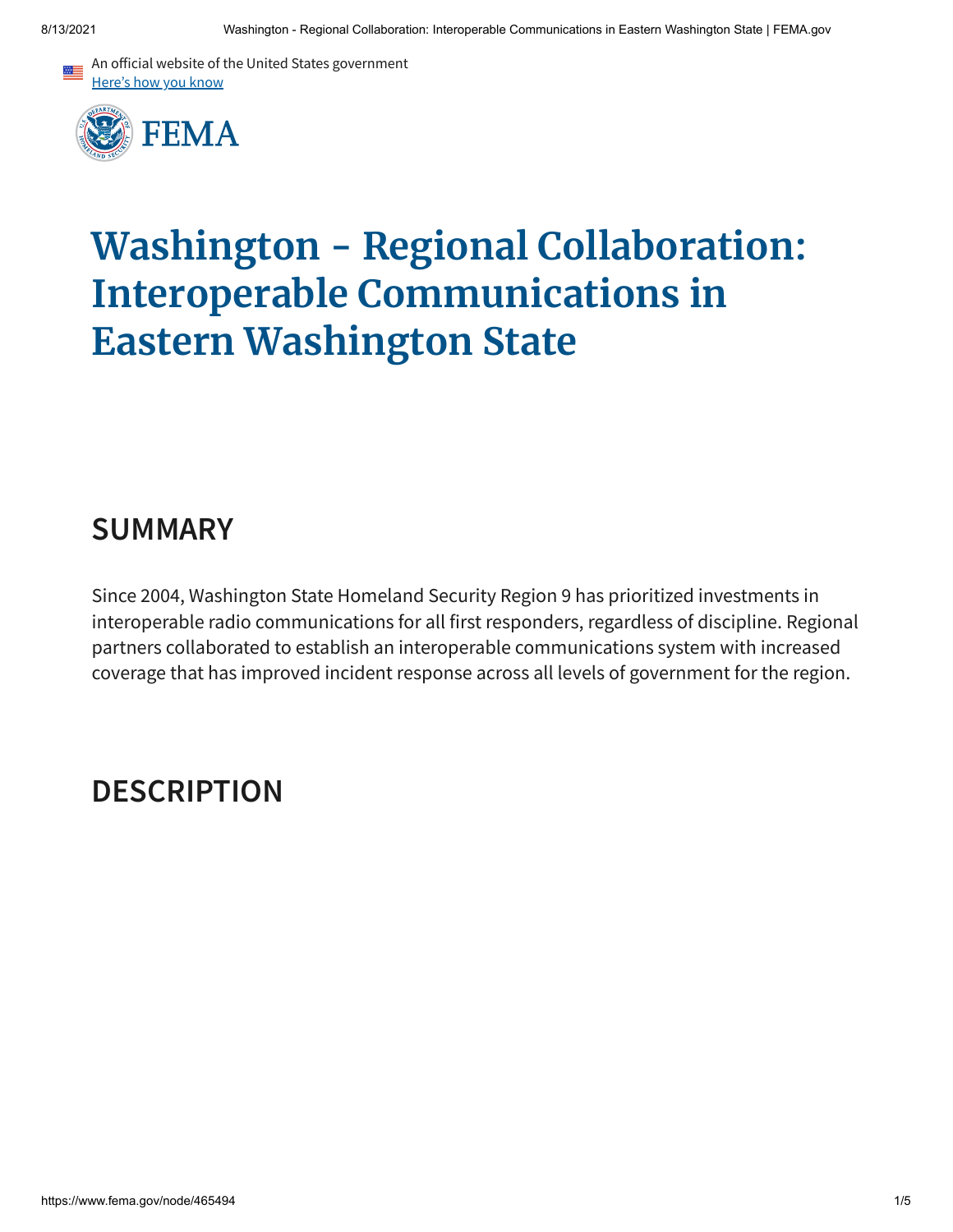



# **Washington - Regional Collaboration: Interoperable Communications in Eastern Washington State**

## **SUMMARY**

Since 2004, Washington State Homeland Security Region 9 has prioritized investments in interoperable radio communications for all first responders, regardless of discipline. Regional partners collaborated to establish an interoperable communications system with increased coverage that has improved incident response across all levels of government for the region.

# **DESCRIPTION**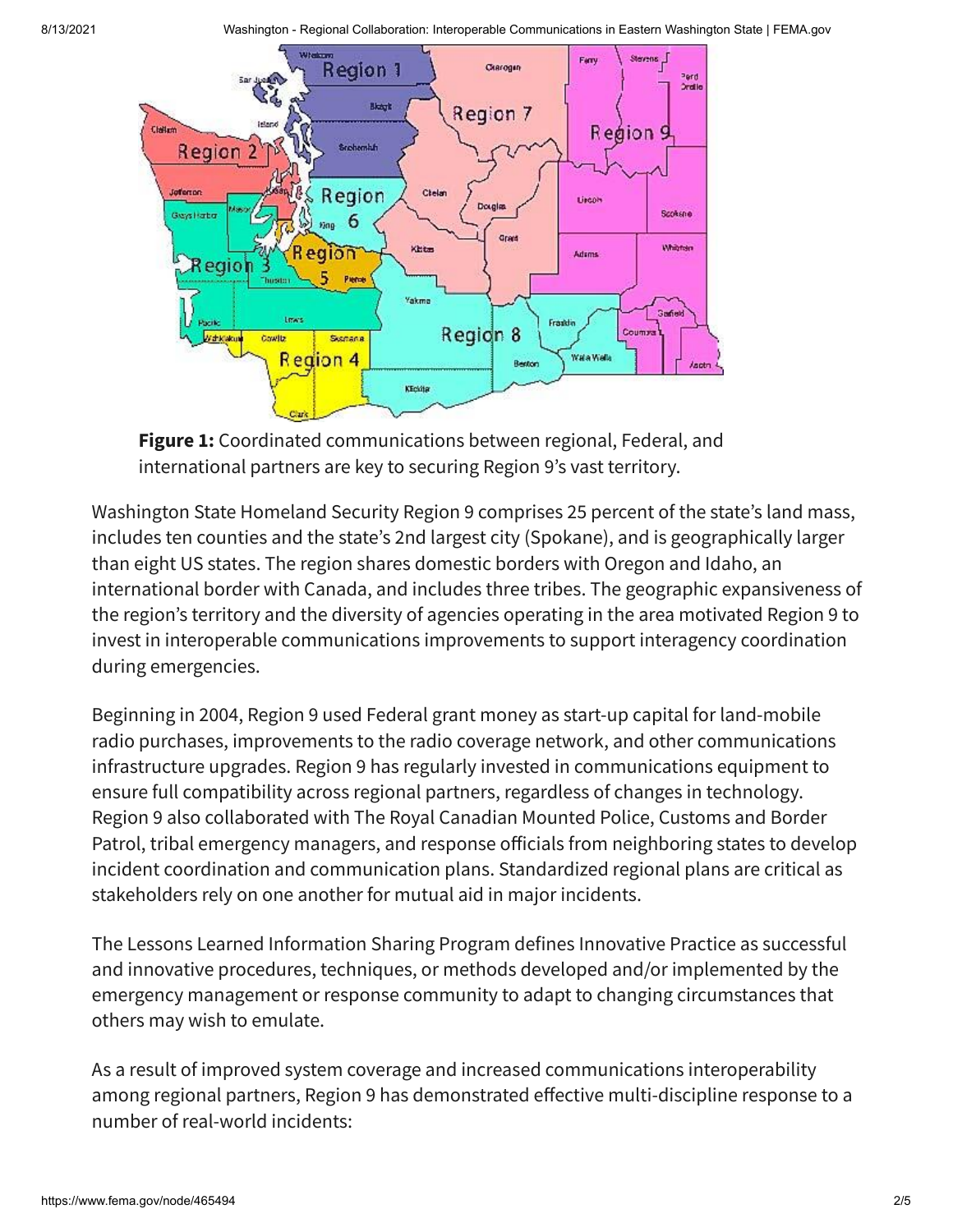

**Figure 1:** Coordinated communications between regional, Federal, and international partners are key to securing Region 9's vast territory.

Washington State Homeland Security Region 9 comprises 25 percent of the state's land mass, includes ten counties and the state's 2nd largest city (Spokane), and is geographically larger than eight US states. The region shares domestic borders with Oregon and Idaho, an international border with Canada, and includes three tribes. The geographic expansiveness of the region's territory and the diversity of agencies operating in the area motivated Region 9 to invest in interoperable communications improvements to support interagency coordination during emergencies.

Beginning in 2004, Region 9 used Federal grant money as start-up capital for land-mobile radio purchases, improvements to the radio coverage network, and other communications infrastructure upgrades. Region 9 has regularly invested in communications equipment to ensure full compatibility across regional partners, regardless of changes in technology. Region 9 also collaborated with The Royal Canadian Mounted Police, Customs and Border Patrol, tribal emergency managers, and response officials from neighboring states to develop incident coordination and communication plans. Standardized regional plans are critical as stakeholders rely on one another for mutual aid in major incidents.

The Lessons Learned Information Sharing Program defines Innovative Practice as successful and innovative procedures, techniques, or methods developed and/or implemented by the emergency management or response community to adapt to changing circumstances that others may wish to emulate.

As a result of improved system coverage and increased communications interoperability among regional partners, Region 9 has demonstrated effective multi-discipline response to a number of real-world incidents: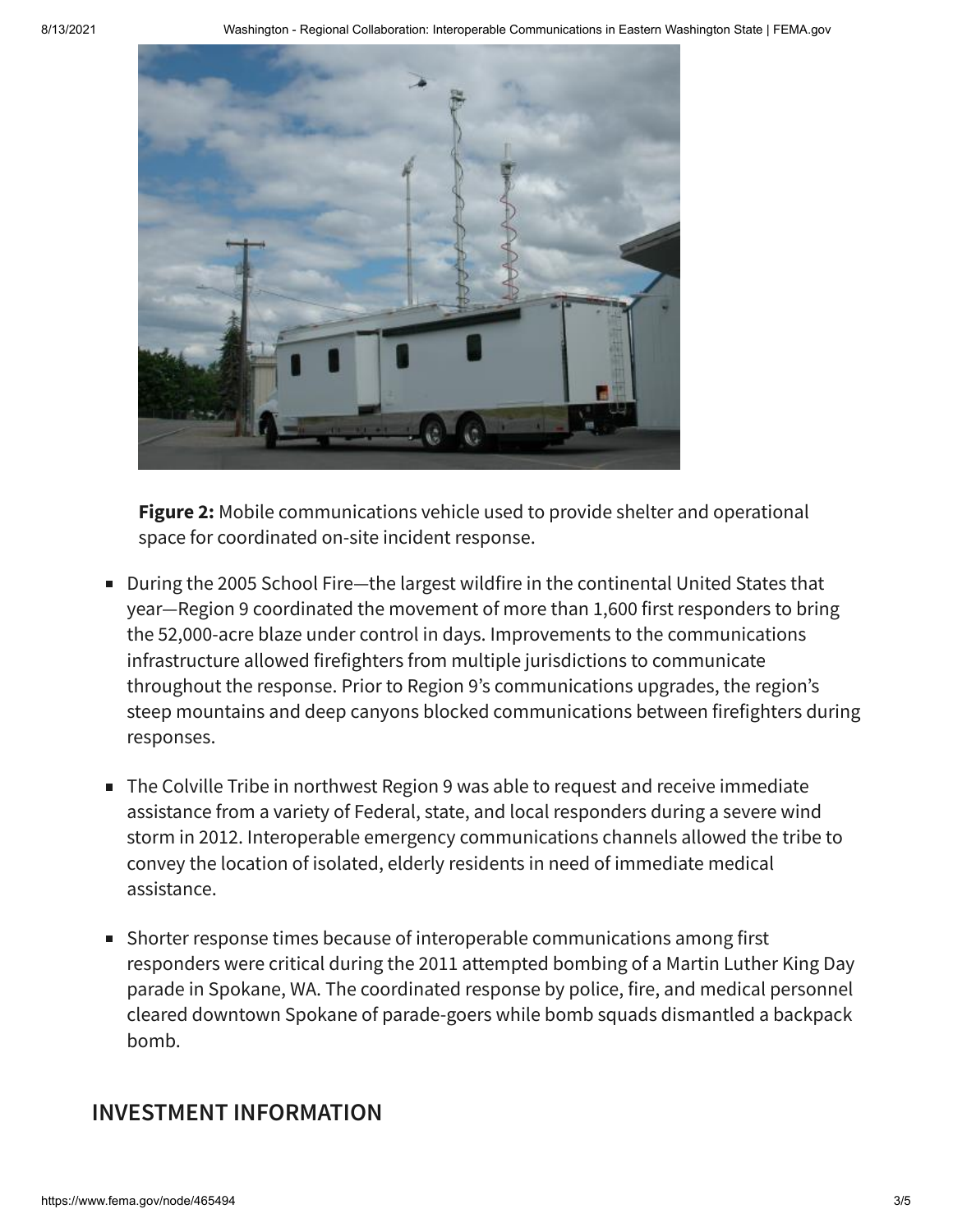

**Figure 2:** Mobile communications vehicle used to provide shelter and operational space for coordinated on-site incident response.

- During the 2005 School Fire—the largest wildfire in the continental United States that year—Region 9 coordinated the movement of more than 1,600 first responders to bring the 52,000-acre blaze under control in days. Improvements to the communications infrastructure allowed firefighters from multiple jurisdictions to communicate throughout the response. Prior to Region 9's communications upgrades, the region's steep mountains and deep canyons blocked communications between firefighters during responses.
- The Colville Tribe in northwest Region 9 was able to request and receive immediate assistance from a variety of Federal, state, and local responders during a severe wind storm in 2012. Interoperable emergency communications channels allowed the tribe to convey the location of isolated, elderly residents in need of immediate medical assistance.
- Shorter response times because of interoperable communications among first responders were critical during the 2011 attempted bombing of a Martin Luther King Day parade in Spokane, WA. The coordinated response by police, fire, and medical personnel cleared downtown Spokane of parade-goers while bomb squads dismantled a backpack bomb.

### **INVESTMENT INFORMATION**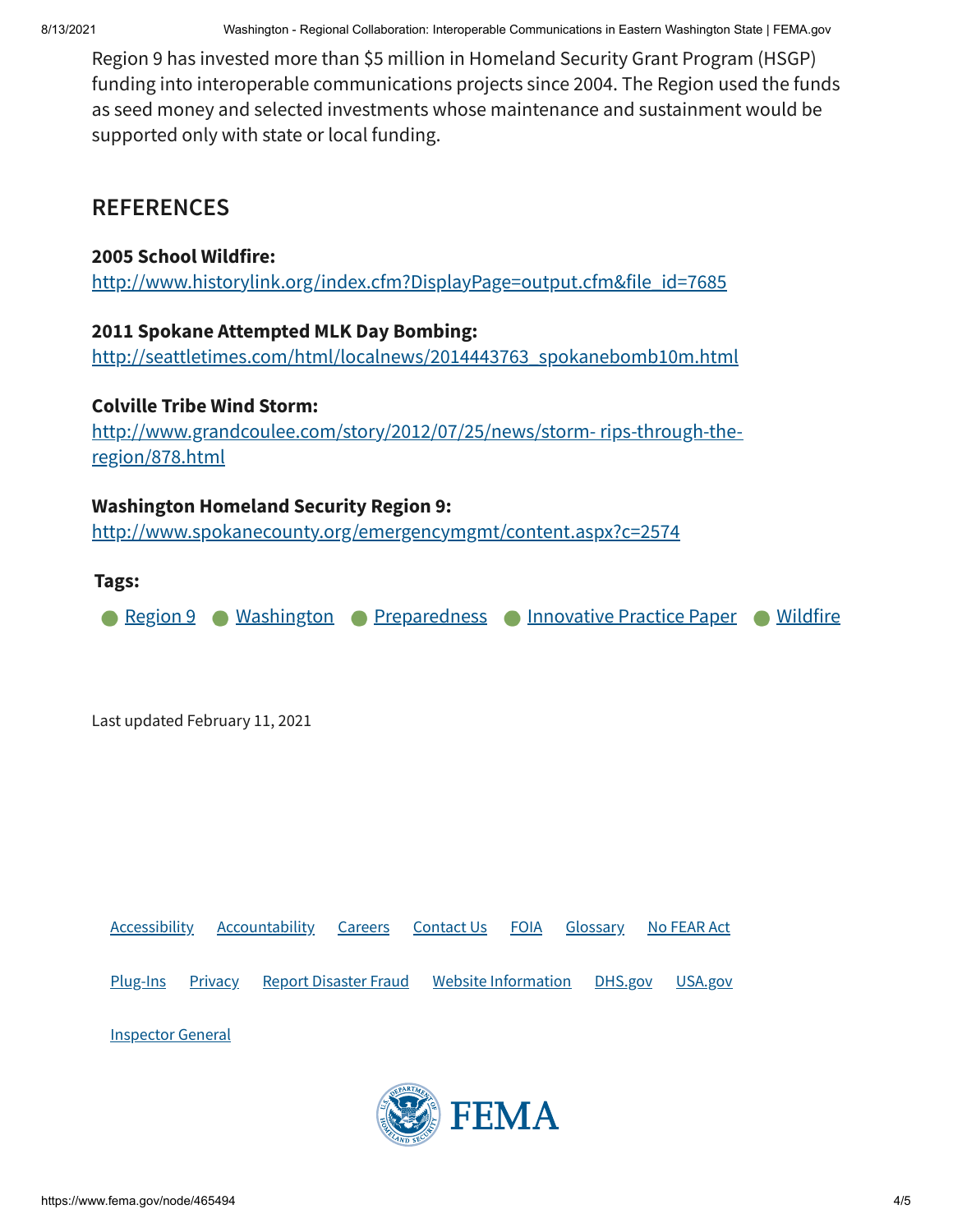Region 9 has invested more than \$5 million in Homeland Security Grant Program (HSGP) funding into interoperable communications projects since 2004. The Region used the funds as seed money and selected investments whose maintenance and sustainment would be supported only with state or local funding.

### **REFERENCES**

#### **2005 School Wildfire:**

[http://www.historylink.org/index.cfm?DisplayPage=output.cfm&file\\_id=7685](http://www.historylink.org/index.cfm?DisplayPage=output.cfm&file_id=7685)

#### **2011 Spokane Attempted MLK Day Bombing:**

[http://seattletimes.com/html/localnews/2014443763\\_spokanebomb10m.html](http://seattletimes.com/html/localnews/2014443763_spokanebomb10m.html)

#### **Colville Tribe Wind Storm:**

[http://www.grandcoulee.com/story/2012/07/25/news/storm-](http://www.grandcoulee.com/story/2012/07/25/news/storm-%20rips-through-the-region/878.html) rips-through-theregion/878.html

#### **Washington Homeland Security Region 9:**

<http://www.spokanecounty.org/emergencymgmt/content.aspx?c=2574>

#### **Tags:**

**[Region](https://www.fema.gov/content?type=All&field_related_locations_target_id=49214) 9 • [Washington](https://www.fema.gov/content?type=All&field_related_locations_target_id=49351) • [Preparedness](https://www.fema.gov/content?type=All&field_keywords_target_id=49909) • [Innovative](https://www.fema.gov/content?type=All&field_keywords_target_id=50658) Practice Paper • [Wildfire](https://www.fema.gov/content?type=All&field_keywords_target_id=49472)** 

Last updated February 11, 2021

[Accessibility](https://www.fema.gov/accessibility) [Accountability](https://www.fema.gov/about/reports-and-data/annual-reports) [Careers](https://www.fema.gov/careers) [Contact](https://www.fema.gov/about/contact) Us [FOIA](https://www.fema.gov/foia) [Glossary](https://www.fema.gov/about/glossary) No [FEAR](https://www.fema.gov/about/organization/equal-rights/no-fear-act) Act [Plug-Ins](https://www.fema.gov/about/website-information/plug-ins) [Privacy](https://www.fema.gov/about/privacy-policy) Report [Disaster](https://www.fema.gov/about/organization/security/disaster-fraud) Fraud Website [Information](https://www.fema.gov/about/website-information) [DHS.gov](https://dhs.gov/) [USA.gov](https://usa.gov/) [Inspector](https://www.oig.dhs.gov/) General